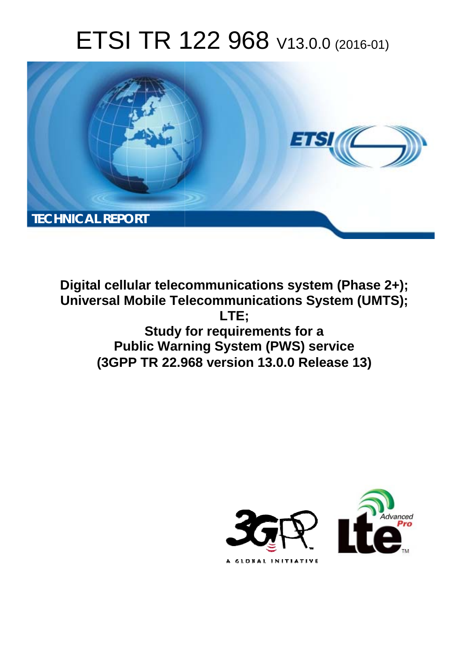# ETSI TR 122 968 V13.0.0 (2016-01)



**Digital cellular telecommunications system (Phase 2+); Universal Mobile Tel elecommunications System ( (UMTS); Study f y for requirements for a Public Warning System (PWS) service (3GPP TR 22.9 .968 version 13.0.0 Release 13 13) LTE;** 

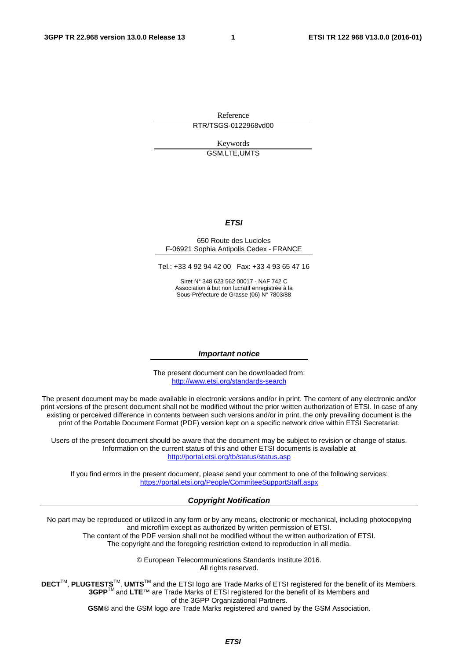Reference RTR/TSGS-0122968vd00

> Keywords GSM,LTE,UMTS

#### *ETSI*

#### 650 Route des Lucioles F-06921 Sophia Antipolis Cedex - FRANCE

Tel.: +33 4 92 94 42 00 Fax: +33 4 93 65 47 16

Siret N° 348 623 562 00017 - NAF 742 C Association à but non lucratif enregistrée à la Sous-Préfecture de Grasse (06) N° 7803/88

#### *Important notice*

The present document can be downloaded from: <http://www.etsi.org/standards-search>

The present document may be made available in electronic versions and/or in print. The content of any electronic and/or print versions of the present document shall not be modified without the prior written authorization of ETSI. In case of any existing or perceived difference in contents between such versions and/or in print, the only prevailing document is the print of the Portable Document Format (PDF) version kept on a specific network drive within ETSI Secretariat.

Users of the present document should be aware that the document may be subject to revision or change of status. Information on the current status of this and other ETSI documents is available at <http://portal.etsi.org/tb/status/status.asp>

If you find errors in the present document, please send your comment to one of the following services: <https://portal.etsi.org/People/CommiteeSupportStaff.aspx>

#### *Copyright Notification*

No part may be reproduced or utilized in any form or by any means, electronic or mechanical, including photocopying and microfilm except as authorized by written permission of ETSI.

The content of the PDF version shall not be modified without the written authorization of ETSI. The copyright and the foregoing restriction extend to reproduction in all media.

> © European Telecommunications Standards Institute 2016. All rights reserved.

**DECT**TM, **PLUGTESTS**TM, **UMTS**TM and the ETSI logo are Trade Marks of ETSI registered for the benefit of its Members. **3GPP**TM and **LTE**™ are Trade Marks of ETSI registered for the benefit of its Members and of the 3GPP Organizational Partners.

**GSM**® and the GSM logo are Trade Marks registered and owned by the GSM Association.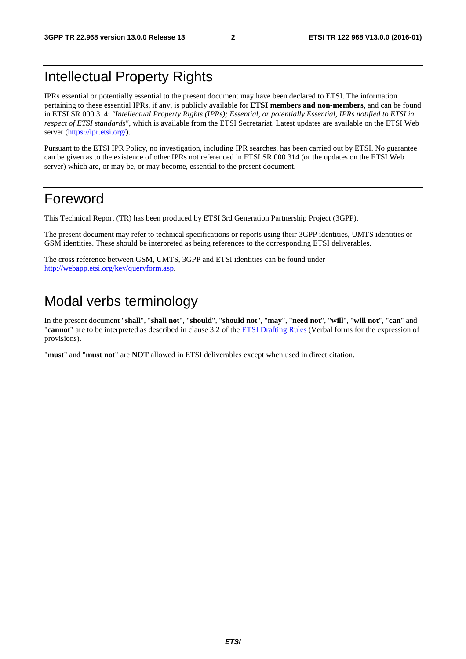## Intellectual Property Rights

IPRs essential or potentially essential to the present document may have been declared to ETSI. The information pertaining to these essential IPRs, if any, is publicly available for **ETSI members and non-members**, and can be found in ETSI SR 000 314: *"Intellectual Property Rights (IPRs); Essential, or potentially Essential, IPRs notified to ETSI in respect of ETSI standards"*, which is available from the ETSI Secretariat. Latest updates are available on the ETSI Web server [\(https://ipr.etsi.org/\)](https://ipr.etsi.org/).

Pursuant to the ETSI IPR Policy, no investigation, including IPR searches, has been carried out by ETSI. No guarantee can be given as to the existence of other IPRs not referenced in ETSI SR 000 314 (or the updates on the ETSI Web server) which are, or may be, or may become, essential to the present document.

### Foreword

This Technical Report (TR) has been produced by ETSI 3rd Generation Partnership Project (3GPP).

The present document may refer to technical specifications or reports using their 3GPP identities, UMTS identities or GSM identities. These should be interpreted as being references to the corresponding ETSI deliverables.

The cross reference between GSM, UMTS, 3GPP and ETSI identities can be found under [http://webapp.etsi.org/key/queryform.asp.](http://webapp.etsi.org/key/queryform.asp)

## Modal verbs terminology

In the present document "**shall**", "**shall not**", "**should**", "**should not**", "**may**", "**need not**", "**will**", "**will not**", "**can**" and "**cannot**" are to be interpreted as described in clause 3.2 of the [ETSI Drafting Rules](http://portal.etsi.org/Help/editHelp!/Howtostart/ETSIDraftingRules.aspx) (Verbal forms for the expression of provisions).

"**must**" and "**must not**" are **NOT** allowed in ETSI deliverables except when used in direct citation.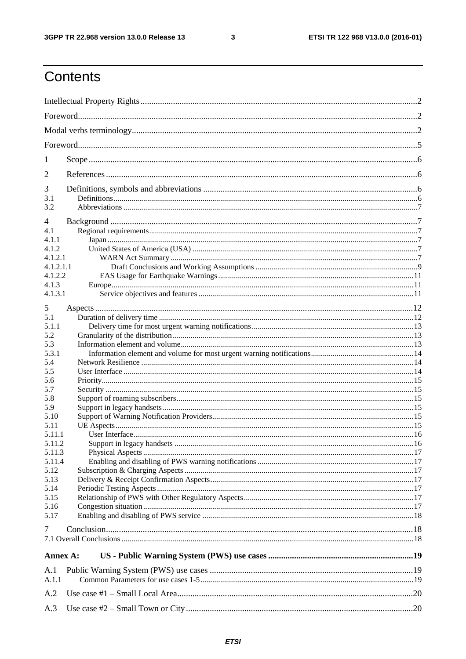$\mathbf{3}$ 

## Contents

| 1          |  |  |  |  |  |  |  |
|------------|--|--|--|--|--|--|--|
| 2          |  |  |  |  |  |  |  |
|            |  |  |  |  |  |  |  |
| 3          |  |  |  |  |  |  |  |
| 3.1<br>3.2 |  |  |  |  |  |  |  |
|            |  |  |  |  |  |  |  |
| 4          |  |  |  |  |  |  |  |
| 4.1        |  |  |  |  |  |  |  |
| 4.1.1      |  |  |  |  |  |  |  |
| 4.1.2      |  |  |  |  |  |  |  |
| 4.1.2.1    |  |  |  |  |  |  |  |
| 4.1.2.1.1  |  |  |  |  |  |  |  |
| 4.1.2.2    |  |  |  |  |  |  |  |
| 4.1.3      |  |  |  |  |  |  |  |
| 4.1.3.1    |  |  |  |  |  |  |  |
| 5          |  |  |  |  |  |  |  |
| 5.1        |  |  |  |  |  |  |  |
| 5.1.1      |  |  |  |  |  |  |  |
| 5.2        |  |  |  |  |  |  |  |
| 5.3        |  |  |  |  |  |  |  |
| 5.3.1      |  |  |  |  |  |  |  |
|            |  |  |  |  |  |  |  |
| 5.4        |  |  |  |  |  |  |  |
| 5.5        |  |  |  |  |  |  |  |
| 5.6        |  |  |  |  |  |  |  |
| 5.7        |  |  |  |  |  |  |  |
| 5.8        |  |  |  |  |  |  |  |
| 5.9        |  |  |  |  |  |  |  |
| 5.10       |  |  |  |  |  |  |  |
| 5.11       |  |  |  |  |  |  |  |
| 5.11.1     |  |  |  |  |  |  |  |
| 5.11.2     |  |  |  |  |  |  |  |
| 5.11.3     |  |  |  |  |  |  |  |
| 5.11.4     |  |  |  |  |  |  |  |
| 5.12       |  |  |  |  |  |  |  |
| 5.13       |  |  |  |  |  |  |  |
| 5.14       |  |  |  |  |  |  |  |
| 5.15       |  |  |  |  |  |  |  |
| 5.16       |  |  |  |  |  |  |  |
| 5.17       |  |  |  |  |  |  |  |
| 7          |  |  |  |  |  |  |  |
|            |  |  |  |  |  |  |  |
|            |  |  |  |  |  |  |  |
| Annex A:   |  |  |  |  |  |  |  |
| A.1        |  |  |  |  |  |  |  |
|            |  |  |  |  |  |  |  |
| A.1.1      |  |  |  |  |  |  |  |
| A.2        |  |  |  |  |  |  |  |
|            |  |  |  |  |  |  |  |
| A.3        |  |  |  |  |  |  |  |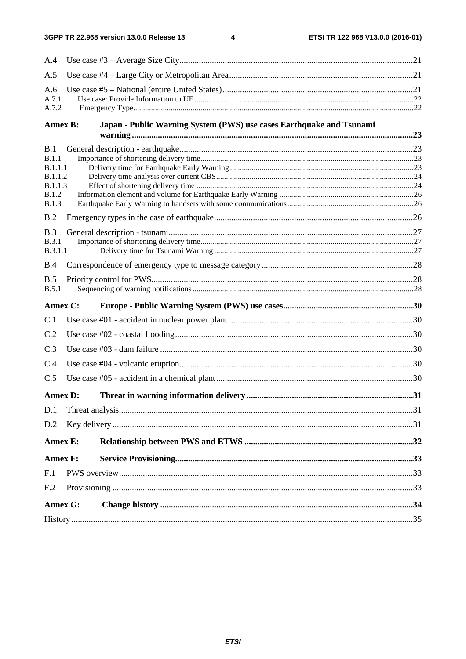$\overline{\mathbf{4}}$ 

| A.4                       |  |                                                                      |  |  |  |  |
|---------------------------|--|----------------------------------------------------------------------|--|--|--|--|
| A.5                       |  |                                                                      |  |  |  |  |
| A.6<br>A.7.1<br>A.7.2     |  |                                                                      |  |  |  |  |
| <b>Annex B:</b>           |  | Japan - Public Warning System (PWS) use cases Earthquake and Tsunami |  |  |  |  |
| B.1                       |  |                                                                      |  |  |  |  |
| B.1.1                     |  |                                                                      |  |  |  |  |
| B.1.1.1                   |  |                                                                      |  |  |  |  |
| B.1.1.2<br><b>B.1.1.3</b> |  |                                                                      |  |  |  |  |
| <b>B.1.2</b>              |  |                                                                      |  |  |  |  |
| B.1.3                     |  |                                                                      |  |  |  |  |
| B.2                       |  |                                                                      |  |  |  |  |
| B.3                       |  |                                                                      |  |  |  |  |
| B.3.1                     |  |                                                                      |  |  |  |  |
| B.3.1.1                   |  |                                                                      |  |  |  |  |
| B.4                       |  |                                                                      |  |  |  |  |
| B.5                       |  |                                                                      |  |  |  |  |
| B.5.1                     |  |                                                                      |  |  |  |  |
| Annex C:                  |  |                                                                      |  |  |  |  |
| C.1                       |  |                                                                      |  |  |  |  |
| C.2                       |  |                                                                      |  |  |  |  |
| C.3                       |  |                                                                      |  |  |  |  |
| C.4                       |  |                                                                      |  |  |  |  |
| C.5                       |  |                                                                      |  |  |  |  |
| <b>Annex D:</b>           |  |                                                                      |  |  |  |  |
| D.1                       |  |                                                                      |  |  |  |  |
| D.2                       |  |                                                                      |  |  |  |  |
| <b>Annex E:</b>           |  |                                                                      |  |  |  |  |
| <b>Annex F:</b>           |  |                                                                      |  |  |  |  |
| F.1                       |  |                                                                      |  |  |  |  |
| F.2                       |  |                                                                      |  |  |  |  |
| Annex G:                  |  |                                                                      |  |  |  |  |
|                           |  |                                                                      |  |  |  |  |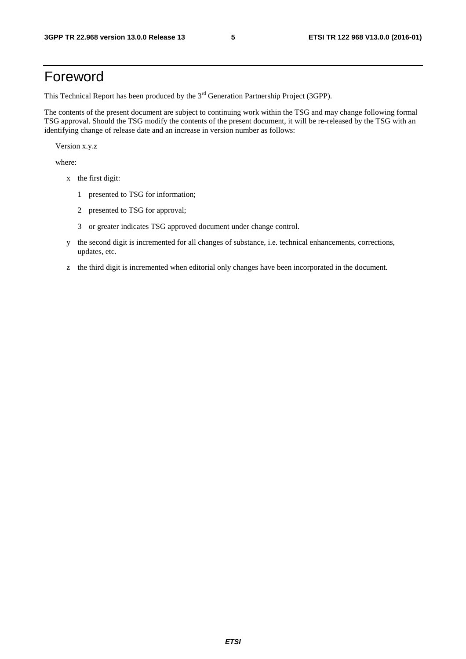### Foreword

This Technical Report has been produced by the  $3<sup>rd</sup>$  Generation Partnership Project (3GPP).

The contents of the present document are subject to continuing work within the TSG and may change following formal TSG approval. Should the TSG modify the contents of the present document, it will be re-released by the TSG with an identifying change of release date and an increase in version number as follows:

Version x.y.z

where:

- x the first digit:
	- 1 presented to TSG for information;
	- 2 presented to TSG for approval;
	- 3 or greater indicates TSG approved document under change control.
- y the second digit is incremented for all changes of substance, i.e. technical enhancements, corrections, updates, etc.
- z the third digit is incremented when editorial only changes have been incorporated in the document.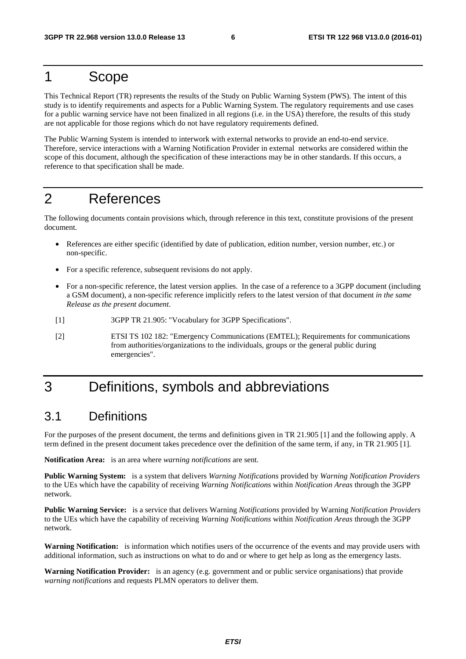### 1 Scope

This Technical Report (TR) represents the results of the Study on Public Warning System (PWS). The intent of this study is to identify requirements and aspects for a Public Warning System. The regulatory requirements and use cases for a public warning service have not been finalized in all regions (i.e. in the USA) therefore, the results of this study are not applicable for those regions which do not have regulatory requirements defined.

The Public Warning System is intended to interwork with external networks to provide an end-to-end service. Therefore, service interactions with a Warning Notification Provider in external networks are considered within the scope of this document, although the specification of these interactions may be in other standards. If this occurs, a reference to that specification shall be made.

### 2 References

The following documents contain provisions which, through reference in this text, constitute provisions of the present document.

- References are either specific (identified by date of publication, edition number, version number, etc.) or non-specific.
- For a specific reference, subsequent revisions do not apply.
- For a non-specific reference, the latest version applies. In the case of a reference to a 3GPP document (including a GSM document), a non-specific reference implicitly refers to the latest version of that document *in the same Release as the present document*.
- [1] 3GPP TR 21.905: "Vocabulary for 3GPP Specifications".
- [2] ETSI TS 102 182: "Emergency Communications (EMTEL); Requirements for communications from authorities/organizations to the individuals, groups or the general public during emergencies".

## 3 Definitions, symbols and abbreviations

#### 3.1 Definitions

For the purposes of the present document, the terms and definitions given in TR 21.905 [1] and the following apply. A term defined in the present document takes precedence over the definition of the same term, if any, in TR 21.905 [1].

**Notification Area:** is an area where *warning notifications* are sent.

**Public Warning System:** is a system that delivers *Warning Notifications* provided by *Warning Notification Providers* to the UEs which have the capability of receiving *Warning Notifications* within *Notification Areas* through the 3GPP network.

**Public Warning Service:** is a service that delivers Warning *Notifications* provided by Warning *Notification Providers* to the UEs which have the capability of receiving *Warning Notifications* within *Notification Areas* through the 3GPP network.

**Warning Notification:** is information which notifies users of the occurrence of the events and may provide users with additional information, such as instructions on what to do and or where to get help as long as the emergency lasts.

**Warning Notification Provider:** is an agency (e.g. government and or public service organisations) that provide *warning notifications* and requests PLMN operators to deliver them.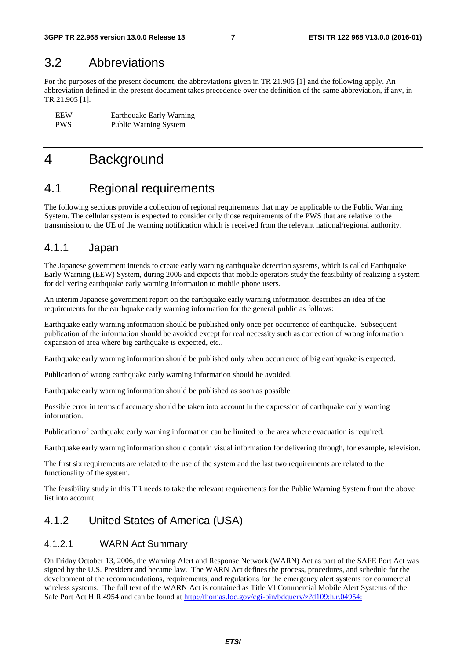#### 3.2 Abbreviations

For the purposes of the present document, the abbreviations given in TR 21.905 [1] and the following apply. An abbreviation defined in the present document takes precedence over the definition of the same abbreviation, if any, in TR 21.905 [1].

EEW Earthquake Early Warning<br>
PWS Public Warning System Public Warning System

### 4 Background

#### 4.1 Regional requirements

The following sections provide a collection of regional requirements that may be applicable to the Public Warning System. The cellular system is expected to consider only those requirements of the PWS that are relative to the transmission to the UE of the warning notification which is received from the relevant national/regional authority.

#### 4.1.1 Japan

The Japanese government intends to create early warning earthquake detection systems, which is called Earthquake Early Warning (EEW) System, during 2006 and expects that mobile operators study the feasibility of realizing a system for delivering earthquake early warning information to mobile phone users.

An interim Japanese government report on the earthquake early warning information describes an idea of the requirements for the earthquake early warning information for the general public as follows:

Earthquake early warning information should be published only once per occurrence of earthquake. Subsequent publication of the information should be avoided except for real necessity such as correction of wrong information, expansion of area where big earthquake is expected, etc..

Earthquake early warning information should be published only when occurrence of big earthquake is expected.

Publication of wrong earthquake early warning information should be avoided.

Earthquake early warning information should be published as soon as possible.

Possible error in terms of accuracy should be taken into account in the expression of earthquake early warning information.

Publication of earthquake early warning information can be limited to the area where evacuation is required.

Earthquake early warning information should contain visual information for delivering through, for example, television.

The first six requirements are related to the use of the system and the last two requirements are related to the functionality of the system.

The feasibility study in this TR needs to take the relevant requirements for the Public Warning System from the above list into account.

#### 4.1.2 United States of America (USA)

#### 4.1.2.1 WARN Act Summary

On Friday October 13, 2006, the Warning Alert and Response Network (WARN) Act as part of the SAFE Port Act was signed by the U.S. President and became law. The WARN Act defines the process, procedures, and schedule for the development of the recommendations, requirements, and regulations for the emergency alert systems for commercial wireless systems. The full text of the WARN Act is contained as Title VI Commercial Mobile Alert Systems of the Safe Port Act H.R.4954 and can be found at [http://thomas.loc.gov/cgi-bin/bdquery/z?d109:h.r.04954:](http://thomas.loc.gov/cgi-bin/bdquery/z?d109:h.r.04954:4)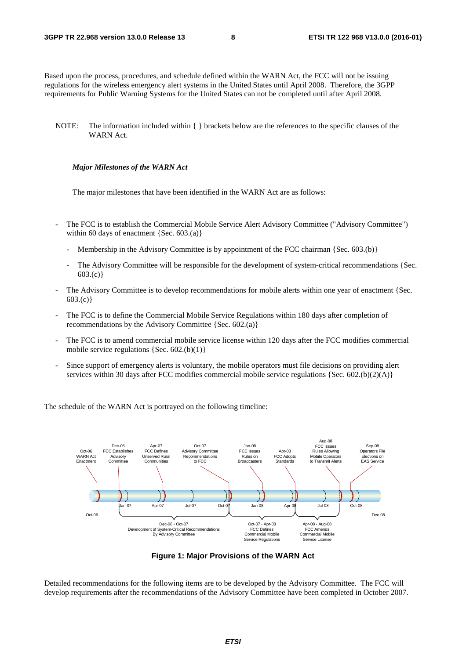Based upon the process, procedures, and schedule defined within the WARN Act, the FCC will not be issuing regulations for the wireless emergency alert systems in the United States until April 2008. Therefore, the 3GPP requirements for Public Warning Systems for the United States can not be completed until after April 2008.

NOTE: The information included within { } brackets below are the references to the specific clauses of the WARN Act.

#### *Major Milestones of the WARN Act*

The major milestones that have been identified in the WARN Act are as follows:

- The FCC is to establish the Commercial Mobile Service Alert Advisory Committee ("Advisory Committee") within 60 days of enactment  ${Sec. 603(a)}$ 
	- Membership in the Advisory Committee is by appointment of the FCC chairman  $\{Sec. 603.(b)\}\$
	- The Advisory Committee will be responsible for the development of system-critical recommendations {Sec.  $603.(c)$
- The Advisory Committee is to develop recommendations for mobile alerts within one year of enactment {Sec. 603.(c)}
- The FCC is to define the Commercial Mobile Service Regulations within 180 days after completion of recommendations by the Advisory Committee {Sec. 602.(a)}
- The FCC is to amend commercial mobile service license within 120 days after the FCC modifies commercial mobile service regulations  ${Sec. 602.(b)(1)}$
- Since support of emergency alerts is voluntary, the mobile operators must file decisions on providing alert services within 30 days after FCC modifies commercial mobile service regulations {Sec. 602.(b)(2)(A)}

The schedule of the WARN Act is portrayed on the following timeline:



**Figure 1: Major Provisions of the WARN Act** 

Detailed recommendations for the following items are to be developed by the Advisory Committee. The FCC will develop requirements after the recommendations of the Advisory Committee have been completed in October 2007.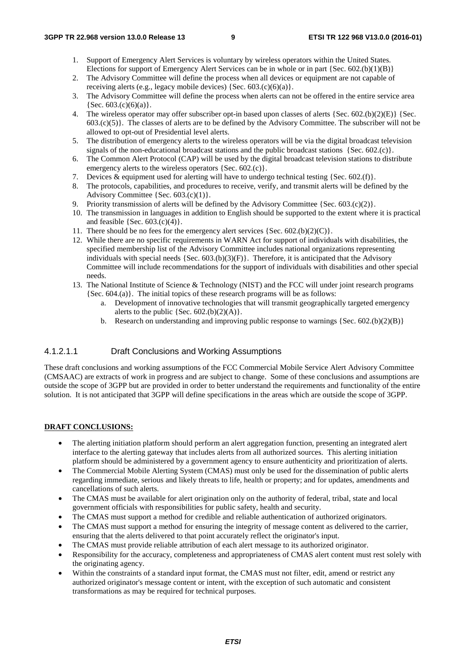- 1. Support of Emergency Alert Services is voluntary by wireless operators within the United States. Elections for support of Emergency Alert Services can be in whole or in part  $\{Sec. 602.(b)(1)(B)\}\$
- 2. The Advisory Committee will define the process when all devices or equipment are not capable of receiving alerts (e.g., legacy mobile devices) {Sec. 603.(c)(6)(a)}.
- 3. The Advisory Committee will define the process when alerts can not be offered in the entire service area  ${Sec. 603.(c)(6)(a)}.$
- 4. The wireless operator may offer subscriber opt-in based upon classes of alerts {Sec. 602.(b)(2)(E)} {Sec.  $603.(c)(5)$ . The classes of alerts are to be defined by the Advisory Committee. The subscriber will not be allowed to opt-out of Presidential level alerts.
- 5. The distribution of emergency alerts to the wireless operators will be via the digital broadcast television signals of the non-educational broadcast stations and the public broadcast stations {Sec. 602.(c)}.
- 6. The Common Alert Protocol (CAP) will be used by the digital broadcast television stations to distribute emergency alerts to the wireless operators {Sec. 602.(c)}.
- 7. Devices & equipment used for alerting will have to undergo technical testing {Sec. 602.(f)}.
- 8. The protocols, capabilities, and procedures to receive, verify, and transmit alerts will be defined by the Advisory Committee  ${Sec. 603.(c)(1)}.$
- 9. Priority transmission of alerts will be defined by the Advisory Committee {Sec. 603.(c)(2)}.
- 10. The transmission in languages in addition to English should be supported to the extent where it is practical and feasible  ${Sec. 603.(c)(4)}.$
- 11. There should be no fees for the emergency alert services  ${Sec. 602.(b)(2)(C)}$ .
- 12. While there are no specific requirements in WARN Act for support of individuals with disabilities, the specified membership list of the Advisory Committee includes national organizations representing individuals with special needs  ${Sec. 603(b)(3)(F)}$ . Therefore, it is anticipated that the Advisory Committee will include recommendations for the support of individuals with disabilities and other special needs.
- 13. The National Institute of Science & Technology (NIST) and the FCC will under joint research programs {Sec. 604.(a)}. The initial topics of these research programs will be as follows:
	- a. Development of innovative technologies that will transmit geographically targeted emergency alerts to the public  ${Sec. 602.(b)(2)(A)}$ .
	- b. Research on understanding and improving public response to warnings  ${Sec. 602.(b)(2)(B)}$

#### 4.1.2.1.1 Draft Conclusions and Working Assumptions

These draft conclusions and working assumptions of the FCC Commercial Mobile Service Alert Advisory Committee (CMSAAC) are extracts of work in progress and are subject to change. Some of these conclusions and assumptions are outside the scope of 3GPP but are provided in order to better understand the requirements and functionality of the entire solution. It is not anticipated that 3GPP will define specifications in the areas which are outside the scope of 3GPP.

#### **DRAFT CONCLUSIONS:**

- The alerting initiation platform should perform an alert aggregation function, presenting an integrated alert interface to the alerting gateway that includes alerts from all authorized sources. This alerting initiation platform should be administered by a government agency to ensure authenticity and prioritization of alerts.
- The Commercial Mobile Alerting System (CMAS) must only be used for the dissemination of public alerts regarding immediate, serious and likely threats to life, health or property; and for updates, amendments and cancellations of such alerts.
- The CMAS must be available for alert origination only on the authority of federal, tribal, state and local government officials with responsibilities for public safety, health and security.
- The CMAS must support a method for credible and reliable authentication of authorized originators.
- The CMAS must support a method for ensuring the integrity of message content as delivered to the carrier, ensuring that the alerts delivered to that point accurately reflect the originator's input.
- The CMAS must provide reliable attribution of each alert message to its authorized originator.
- Responsibility for the accuracy, completeness and appropriateness of CMAS alert content must rest solely with the originating agency.
- Within the constraints of a standard input format, the CMAS must not filter, edit, amend or restrict any authorized originator's message content or intent, with the exception of such automatic and consistent transformations as may be required for technical purposes.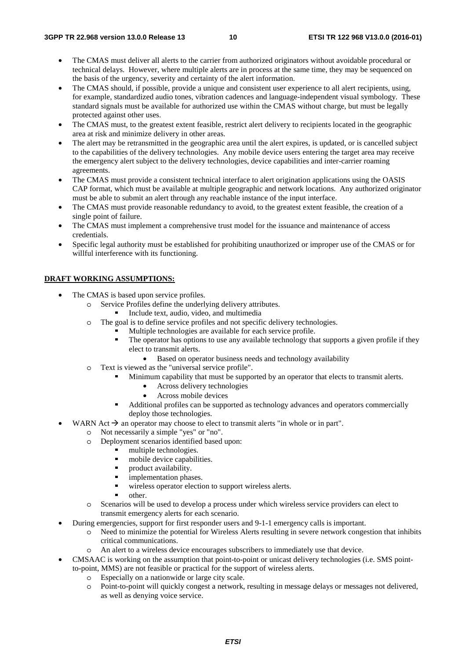- The CMAS must deliver all alerts to the carrier from authorized originators without avoidable procedural or technical delays. However, where multiple alerts are in process at the same time, they may be sequenced on the basis of the urgency, severity and certainty of the alert information.
- The CMAS should, if possible, provide a unique and consistent user experience to all alert recipients, using, for example, standardized audio tones, vibration cadences and language-independent visual symbology. These standard signals must be available for authorized use within the CMAS without charge, but must be legally protected against other uses.
- The CMAS must, to the greatest extent feasible, restrict alert delivery to recipients located in the geographic area at risk and minimize delivery in other areas.
- The alert may be retransmitted in the geographic area until the alert expires, is updated, or is cancelled subject to the capabilities of the delivery technologies. Any mobile device users entering the target area may receive the emergency alert subject to the delivery technologies, device capabilities and inter-carrier roaming agreements.
- The CMAS must provide a consistent technical interface to alert origination applications using the OASIS CAP format, which must be available at multiple geographic and network locations. Any authorized originator must be able to submit an alert through any reachable instance of the input interface.
- The CMAS must provide reasonable redundancy to avoid, to the greatest extent feasible, the creation of a single point of failure.
- The CMAS must implement a comprehensive trust model for the issuance and maintenance of access credentials.
- Specific legal authority must be established for prohibiting unauthorized or improper use of the CMAS or for willful interference with its functioning.

#### **DRAFT WORKING ASSUMPTIONS:**

- The CMAS is based upon service profiles.
	- o Service Profiles define the underlying delivery attributes.
		-
	- Include text, audio, video, and multimedia<br>
	o The goal is to define service profiles and not specific delivery technologies.
		- Multiple technologies are available for each service profile.<br>The operator has options to use any available technology the
		- The operator has options to use any available technology that supports a given profile if they elect to transmit alerts.
			- Based on operator business needs and technology availability
	- o Text is viewed as the "universal service profile".
		- Minimum capability that must be supported by an operator that elects to transmit alerts.
			- Across delivery technologies
			- Across mobile devices
		- Additional profiles can be supported as technology advances and operators commercially deploy those technologies.
- WARN Act  $\rightarrow$  an operator may choose to elect to transmit alerts "in whole or in part".<br>  $\sim$  Not necessarily a simple "ves" or "no"
	- o Not necessarily a simple "yes" or "no".
		- o Deployment scenarios identified based upon:
			- multiple technologies.<br>mobile device capability
			- mobile device capabilities.
			- product availability.
			- implementation phases.
			- wireless operator election to support wireless alerts.<br>
			other
			-
		- other.<br>
		o Scenarios will be used to develop a process under which wireless service providers can elect to transmit emergency alerts for each scenario.
- During emergencies, support for first responder users and 9-1-1 emergency calls is important.
	- o Need to minimize the potential for Wireless Alerts resulting in severe network congestion that inhibits critical communications.
	- o An alert to a wireless device encourages subscribers to immediately use that device.
- CMSAAC is working on the assumption that point-to-point or unicast delivery technologies (i.e. SMS pointto-point, MMS) are not feasible or practical for the support of wireless alerts.
	- o Especially on a nationwide or large city scale.
	- Point-to-point will quickly congest a network, resulting in message delays or messages not delivered, as well as denying voice service.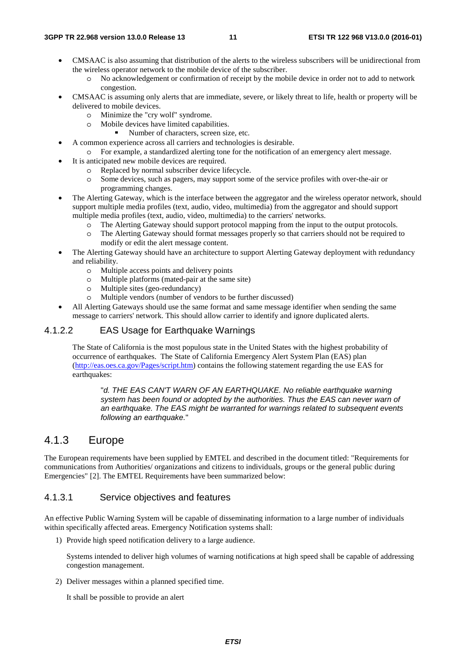- CMSAAC is also assuming that distribution of the alerts to the wireless subscribers will be unidirectional from the wireless operator network to the mobile device of the subscriber.
	- o No acknowledgement or confirmation of receipt by the mobile device in order not to add to network congestion.
- CMSAAC is assuming only alerts that are immediate, severe, or likely threat to life, health or property will be delivered to mobile devices.
	- o Minimize the "cry wolf" syndrome.
	- o Mobile devices have limited capabilities.
		- Number of characters, screen size, etc.
- A common experience across all carriers and technologies is desirable.
	- o For example, a standardized alerting tone for the notification of an emergency alert message.
- It is anticipated new mobile devices are required.
	- o Replaced by normal subscriber device lifecycle.
	- o Some devices, such as pagers, may support some of the service profiles with over-the-air or programming changes.
- The Alerting Gateway, which is the interface between the aggregator and the wireless operator network, should support multiple media profiles (text, audio, video, multimedia) from the aggregator and should support multiple media profiles (text, audio, video, multimedia) to the carriers' networks.
	- o The Alerting Gateway should support protocol mapping from the input to the output protocols.
	- o The Alerting Gateway should format messages properly so that carriers should not be required to modify or edit the alert message content.
- The Alerting Gateway should have an architecture to support Alerting Gateway deployment with redundancy and reliability.
	- o Multiple access points and delivery points
	- o Multiple platforms (mated-pair at the same site)
	- o Multiple sites (geo-redundancy)
	- o Multiple vendors (number of vendors to be further discussed)
- All Alerting Gateways should use the same format and same message identifier when sending the same message to carriers' network. This should allow carrier to identify and ignore duplicated alerts.

#### 4.1.2.2 EAS Usage for Earthquake Warnings

The State of California is the most populous state in the United States with the highest probability of occurrence of earthquakes. The State of California Emergency Alert System Plan (EAS) plan ([http://eas.oes.ca.gov/Pages/script.htm\)](http://eas.oes.ca.gov/Pages/script.htm) contains the following statement regarding the use EAS for earthquakes:

"*d. THE EAS CAN'T WARN OF AN EARTHQUAKE. No reliable earthquake warning system has been found or adopted by the authorities. Thus the EAS can never warn of an earthquake. The EAS might be warranted for warnings related to subsequent events following an earthquake.*"

#### 4.1.3 Europe

The European requirements have been supplied by EMTEL and described in the document titled: "Requirements for communications from Authorities/ organizations and citizens to individuals, groups or the general public during Emergencies" [2]. The EMTEL Requirements have been summarized below:

#### 4.1.3.1 Service objectives and features

An effective Public Warning System will be capable of disseminating information to a large number of individuals within specifically affected areas. Emergency Notification systems shall:

1) Provide high speed notification delivery to a large audience.

Systems intended to deliver high volumes of warning notifications at high speed shall be capable of addressing congestion management.

2) Deliver messages within a planned specified time.

It shall be possible to provide an alert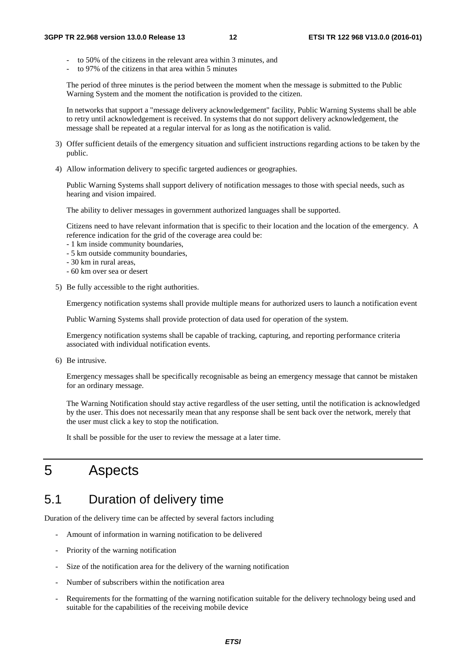- to 50% of the citizens in the relevant area within 3 minutes, and
- to 97% of the citizens in that area within 5 minutes

The period of three minutes is the period between the moment when the message is submitted to the Public Warning System and the moment the notification is provided to the citizen.

In networks that support a "message delivery acknowledgement" facility, Public Warning Systems shall be able to retry until acknowledgement is received. In systems that do not support delivery acknowledgement, the message shall be repeated at a regular interval for as long as the notification is valid.

- 3) Offer sufficient details of the emergency situation and sufficient instructions regarding actions to be taken by the public.
- 4) Allow information delivery to specific targeted audiences or geographies.

Public Warning Systems shall support delivery of notification messages to those with special needs, such as hearing and vision impaired.

The ability to deliver messages in government authorized languages shall be supported.

Citizens need to have relevant information that is specific to their location and the location of the emergency. A reference indication for the grid of the coverage area could be:

- 1 km inside community boundaries,
- 5 km outside community boundaries,
- 30 km in rural areas,
- 60 km over sea or desert
- 5) Be fully accessible to the right authorities.

Emergency notification systems shall provide multiple means for authorized users to launch a notification event

Public Warning Systems shall provide protection of data used for operation of the system.

Emergency notification systems shall be capable of tracking, capturing, and reporting performance criteria associated with individual notification events.

6) Be intrusive.

Emergency messages shall be specifically recognisable as being an emergency message that cannot be mistaken for an ordinary message.

The Warning Notification should stay active regardless of the user setting, until the notification is acknowledged by the user. This does not necessarily mean that any response shall be sent back over the network, merely that the user must click a key to stop the notification.

It shall be possible for the user to review the message at a later time.

### 5 Aspects

### 5.1 Duration of delivery time

Duration of the delivery time can be affected by several factors including

- Amount of information in warning notification to be delivered
- Priority of the warning notification
- Size of the notification area for the delivery of the warning notification
- Number of subscribers within the notification area
- Requirements for the formatting of the warning notification suitable for the delivery technology being used and suitable for the capabilities of the receiving mobile device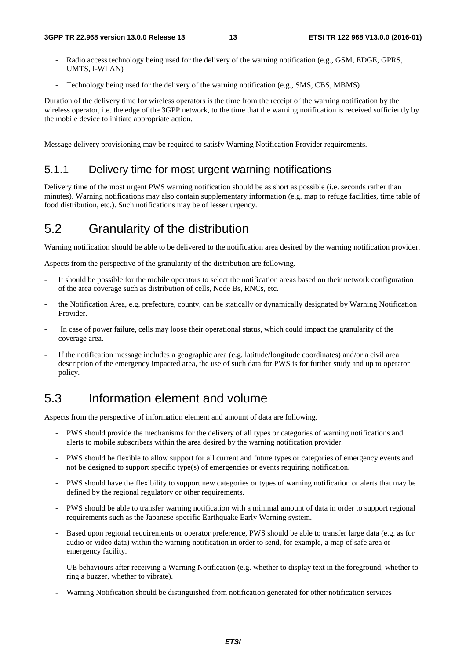- Radio access technology being used for the delivery of the warning notification (e.g., GSM, EDGE, GPRS, UMTS, I-WLAN)
- Technology being used for the delivery of the warning notification (e.g., SMS, CBS, MBMS)

Duration of the delivery time for wireless operators is the time from the receipt of the warning notification by the wireless operator, i.e. the edge of the 3GPP network, to the time that the warning notification is received sufficiently by the mobile device to initiate appropriate action.

Message delivery provisioning may be required to satisfy Warning Notification Provider requirements.

#### 5.1.1 Delivery time for most urgent warning notifications

Delivery time of the most urgent PWS warning notification should be as short as possible (i.e. seconds rather than minutes). Warning notifications may also contain supplementary information (e.g. map to refuge facilities, time table of food distribution, etc.). Such notifications may be of lesser urgency.

### 5.2 Granularity of the distribution

Warning notification should be able to be delivered to the notification area desired by the warning notification provider.

Aspects from the perspective of the granularity of the distribution are following.

- It should be possible for the mobile operators to select the notification areas based on their network configuration of the area coverage such as distribution of cells, Node Bs, RNCs, etc.
- the Notification Area, e.g. prefecture, county, can be statically or dynamically designated by Warning Notification Provider.
- In case of power failure, cells may loose their operational status, which could impact the granularity of the coverage area.
- If the notification message includes a geographic area (e.g. latitude/longitude coordinates) and/or a civil area description of the emergency impacted area, the use of such data for PWS is for further study and up to operator policy.

#### 5.3 Information element and volume

Aspects from the perspective of information element and amount of data are following.

- PWS should provide the mechanisms for the delivery of all types or categories of warning notifications and alerts to mobile subscribers within the area desired by the warning notification provider.
- PWS should be flexible to allow support for all current and future types or categories of emergency events and not be designed to support specific type(s) of emergencies or events requiring notification.
- PWS should have the flexibility to support new categories or types of warning notification or alerts that may be defined by the regional regulatory or other requirements.
- PWS should be able to transfer warning notification with a minimal amount of data in order to support regional requirements such as the Japanese-specific Earthquake Early Warning system.
- Based upon regional requirements or operator preference, PWS should be able to transfer large data (e.g. as for audio or video data) within the warning notification in order to send, for example, a map of safe area or emergency facility.
- UE behaviours after receiving a Warning Notification (e.g. whether to display text in the foreground, whether to ring a buzzer, whether to vibrate).
- Warning Notification should be distinguished from notification generated for other notification services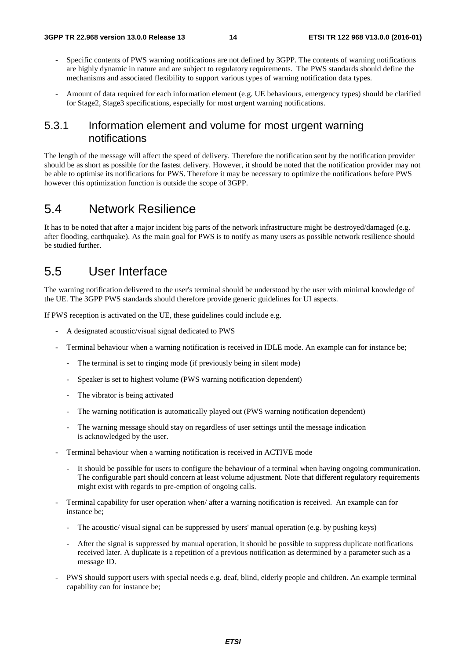- Specific contents of PWS warning notifications are not defined by 3GPP. The contents of warning notifications are highly dynamic in nature and are subject to regulatory requirements. The PWS standards should define the mechanisms and associated flexibility to support various types of warning notification data types.
- Amount of data required for each information element (e.g. UE behaviours, emergency types) should be clarified for Stage2, Stage3 specifications, especially for most urgent warning notifications.

#### 5.3.1 Information element and volume for most urgent warning notifications

The length of the message will affect the speed of delivery. Therefore the notification sent by the notification provider should be as short as possible for the fastest delivery. However, it should be noted that the notification provider may not be able to optimise its notifications for PWS. Therefore it may be necessary to optimize the notifications before PWS however this optimization function is outside the scope of 3GPP.

#### 5.4 Network Resilience

It has to be noted that after a major incident big parts of the network infrastructure might be destroyed/damaged (e.g. after flooding, earthquake). As the main goal for PWS is to notify as many users as possible network resilience should be studied further.

#### 5.5 User Interface

The warning notification delivered to the user's terminal should be understood by the user with minimal knowledge of the UE. The 3GPP PWS standards should therefore provide generic guidelines for UI aspects.

If PWS reception is activated on the UE, these guidelines could include e.g.

- A designated acoustic/visual signal dedicated to PWS
- Terminal behaviour when a warning notification is received in IDLE mode. An example can for instance be;
	- The terminal is set to ringing mode (if previously being in silent mode)
	- Speaker is set to highest volume (PWS warning notification dependent)
	- The vibrator is being activated
	- The warning notification is automatically played out (PWS warning notification dependent)
	- The warning message should stay on regardless of user settings until the message indication is acknowledged by the user.
- Terminal behaviour when a warning notification is received in ACTIVE mode
	- It should be possible for users to configure the behaviour of a terminal when having ongoing communication. The configurable part should concern at least volume adjustment. Note that different regulatory requirements might exist with regards to pre-emption of ongoing calls.
- Terminal capability for user operation when/ after a warning notification is received. An example can for instance be;
	- The acoustic/ visual signal can be suppressed by users' manual operation (e.g. by pushing keys)
	- After the signal is suppressed by manual operation, it should be possible to suppress duplicate notifications received later. A duplicate is a repetition of a previous notification as determined by a parameter such as a message ID.
- PWS should support users with special needs e.g. deaf, blind, elderly people and children. An example terminal capability can for instance be;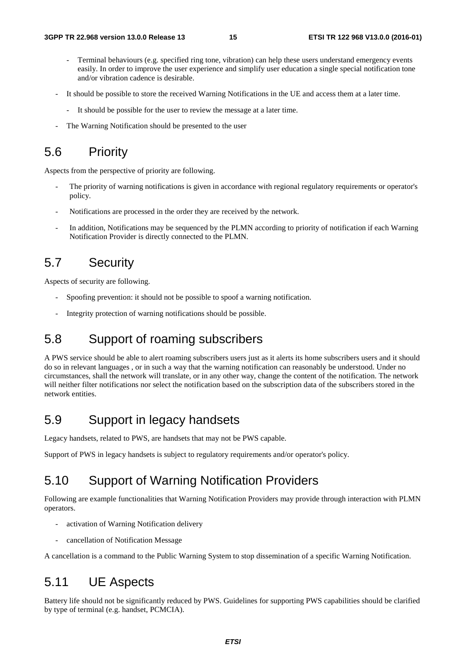- Terminal behaviours (e.g. specified ring tone, vibration) can help these users understand emergency events easily. In order to improve the user experience and simplify user education a single special notification tone and/or vibration cadence is desirable.
- It should be possible to store the received Warning Notifications in the UE and access them at a later time.
	- It should be possible for the user to review the message at a later time.
- The Warning Notification should be presented to the user

#### 5.6 Priority

Aspects from the perspective of priority are following.

- The priority of warning notifications is given in accordance with regional regulatory requirements or operator's policy.
- Notifications are processed in the order they are received by the network.
- In addition, Notifications may be sequenced by the PLMN according to priority of notification if each Warning Notification Provider is directly connected to the PLMN.

#### 5.7 Security

Aspects of security are following.

- Spoofing prevention: it should not be possible to spoof a warning notification.
- Integrity protection of warning notifications should be possible.

## 5.8 Support of roaming subscribers

A PWS service should be able to alert roaming subscribers users just as it alerts its home subscribers users and it should do so in relevant languages , or in such a way that the warning notification can reasonably be understood. Under no circumstances, shall the network will translate, or in any other way, change the content of the notification. The network will neither filter notifications nor select the notification based on the subscription data of the subscribers stored in the network entities.

#### 5.9 Support in legacy handsets

Legacy handsets, related to PWS, are handsets that may not be PWS capable.

Support of PWS in legacy handsets is subject to regulatory requirements and/or operator's policy.

#### 5.10 Support of Warning Notification Providers

Following are example functionalities that Warning Notification Providers may provide through interaction with PLMN operators.

- activation of Warning Notification delivery
- cancellation of Notification Message

A cancellation is a command to the Public Warning System to stop dissemination of a specific Warning Notification.

#### 5.11 UE Aspects

Battery life should not be significantly reduced by PWS. Guidelines for supporting PWS capabilities should be clarified by type of terminal (e.g. handset, PCMCIA).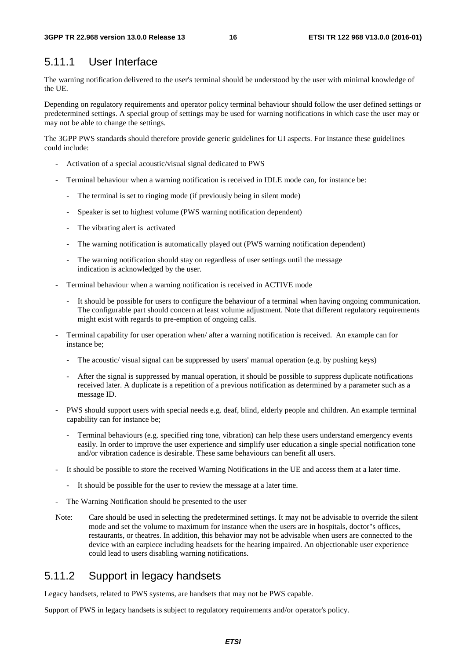#### 5.11.1 User Interface

The warning notification delivered to the user's terminal should be understood by the user with minimal knowledge of the UE.

Depending on regulatory requirements and operator policy terminal behaviour should follow the user defined settings or predetermined settings. A special group of settings may be used for warning notifications in which case the user may or may not be able to change the settings.

The 3GPP PWS standards should therefore provide generic guidelines for UI aspects. For instance these guidelines could include:

- Activation of a special acoustic/visual signal dedicated to PWS
- Terminal behaviour when a warning notification is received in IDLE mode can, for instance be:
	- The terminal is set to ringing mode (if previously being in silent mode)
	- Speaker is set to highest volume (PWS warning notification dependent)
	- The vibrating alert is activated
	- The warning notification is automatically played out (PWS warning notification dependent)
	- The warning notification should stay on regardless of user settings until the message indication is acknowledged by the user.
- Terminal behaviour when a warning notification is received in ACTIVE mode
	- It should be possible for users to configure the behaviour of a terminal when having ongoing communication. The configurable part should concern at least volume adjustment. Note that different regulatory requirements might exist with regards to pre-emption of ongoing calls.
- Terminal capability for user operation when/ after a warning notification is received. An example can for instance be;
	- The acoustic/ visual signal can be suppressed by users' manual operation (e.g. by pushing keys)
	- After the signal is suppressed by manual operation, it should be possible to suppress duplicate notifications received later. A duplicate is a repetition of a previous notification as determined by a parameter such as a message ID.
- PWS should support users with special needs e.g. deaf, blind, elderly people and children. An example terminal capability can for instance be;
	- Terminal behaviours (e.g. specified ring tone, vibration) can help these users understand emergency events easily. In order to improve the user experience and simplify user education a single special notification tone and/or vibration cadence is desirable. These same behaviours can benefit all users.
- It should be possible to store the received Warning Notifications in the UE and access them at a later time.
	- It should be possible for the user to review the message at a later time.
- The Warning Notification should be presented to the user
- Note: Care should be used in selecting the predetermined settings. It may not be advisable to override the silent mode and set the volume to maximum for instance when the users are in hospitals, doctor"s offices, restaurants, or theatres. In addition, this behavior may not be advisable when users are connected to the device with an earpiece including headsets for the hearing impaired. An objectionable user experience could lead to users disabling warning notifications.

#### 5.11.2 Support in legacy handsets

Legacy handsets, related to PWS systems, are handsets that may not be PWS capable.

Support of PWS in legacy handsets is subject to regulatory requirements and/or operator's policy.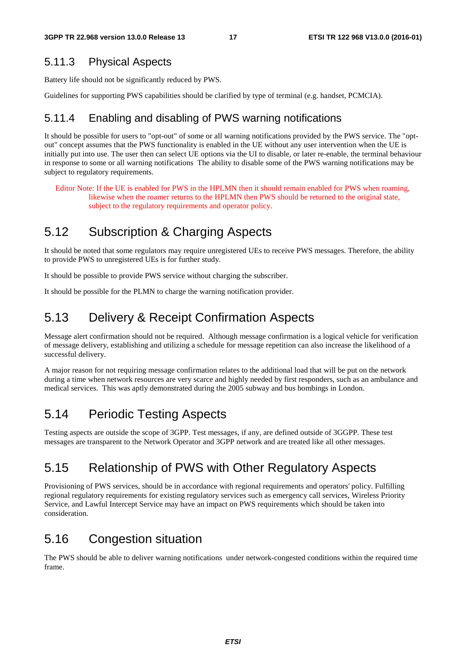#### 5.11.3 Physical Aspects

Battery life should not be significantly reduced by PWS.

Guidelines for supporting PWS capabilities should be clarified by type of terminal (e.g. handset, PCMCIA).

#### 5.11.4 Enabling and disabling of PWS warning notifications

It should be possible for users to "opt-out" of some or all warning notifications provided by the PWS service. The "optout" concept assumes that the PWS functionality is enabled in the UE without any user intervention when the UE is initially put into use. The user then can select UE options via the UI to disable, or later re-enable, the terminal behaviour in response to some or all warning notifications The ability to disable some of the PWS warning notifications may be subject to regulatory requirements.

Editor Note: If the UE is enabled for PWS in the HPLMN then it should remain enabled for PWS when roaming, likewise when the roamer returns to the HPLMN then PWS should be returned to the original state, subject to the regulatory requirements and operator policy.

### 5.12 Subscription & Charging Aspects

It should be noted that some regulators may require unregistered UEs to receive PWS messages. Therefore, the ability to provide PWS to unregistered UEs is for further study.

It should be possible to provide PWS service without charging the subscriber.

It should be possible for the PLMN to charge the warning notification provider.

### 5.13 Delivery & Receipt Confirmation Aspects

Message alert confirmation should not be required. Although message confirmation is a logical vehicle for verification of message delivery, establishing and utilizing a schedule for message repetition can also increase the likelihood of a successful delivery.

A major reason for not requiring message confirmation relates to the additional load that will be put on the network during a time when network resources are very scarce and highly needed by first responders, such as an ambulance and medical services. This was aptly demonstrated during the 2005 subway and bus bombings in London.

### 5.14 Periodic Testing Aspects

Testing aspects are outside the scope of 3GPP. Test messages, if any, are defined outside of 3GGPP. These test messages are transparent to the Network Operator and 3GPP network and are treated like all other messages.

### 5.15 Relationship of PWS with Other Regulatory Aspects

Provisioning of PWS services, should be in accordance with regional requirements and operators' policy. Fulfilling regional regulatory requirements for existing regulatory services such as emergency call services, Wireless Priority Service, and Lawful Intercept Service may have an impact on PWS requirements which should be taken into consideration.

### 5.16 Congestion situation

The PWS should be able to deliver warning notifications under network-congested conditions within the required time frame.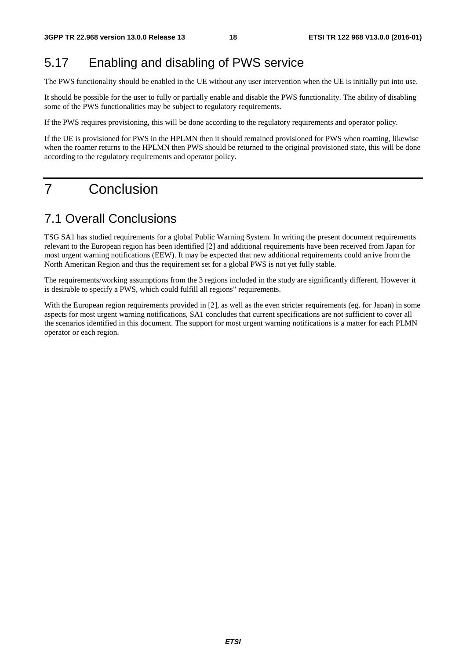## 5.17 Enabling and disabling of PWS service

The PWS functionality should be enabled in the UE without any user intervention when the UE is initially put into use.

It should be possible for the user to fully or partially enable and disable the PWS functionality. The ability of disabling some of the PWS functionalities may be subject to regulatory requirements.

If the PWS requires provisioning, this will be done according to the regulatory requirements and operator policy.

If the UE is provisioned for PWS in the HPLMN then it should remained provisioned for PWS when roaming, likewise when the roamer returns to the HPLMN then PWS should be returned to the original provisioned state, this will be done according to the regulatory requirements and operator policy.

## 7 Conclusion

#### 7.1 Overall Conclusions

TSG SA1 has studied requirements for a global Public Warning System. In writing the present document requirements relevant to the European region has been identified [2] and additional requirements have been received from Japan for most urgent warning notifications (EEW). It may be expected that new additional requirements could arrive from the North American Region and thus the requirement set for a global PWS is not yet fully stable.

The requirements/working assumptions from the 3 regions included in the study are significantly different. However it is desirable to specify a PWS, which could fulfill all regions" requirements.

With the European region requirements provided in [2], as well as the even stricter requirements (eg. for Japan) in some aspects for most urgent warning notifications, SA1 concludes that current specifications are not sufficient to cover all the scenarios identified in this document. The support for most urgent warning notifications is a matter for each PLMN operator or each region.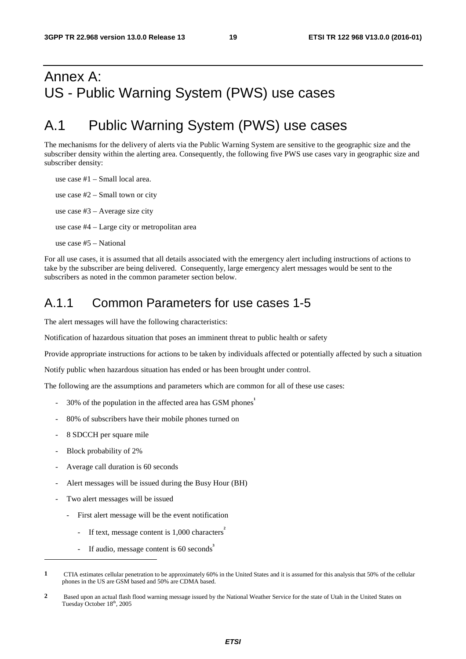## Annex A: US - Public Warning System (PWS) use cases

## A.1 Public Warning System (PWS) use cases

The mechanisms for the delivery of alerts via the Public Warning System are sensitive to the geographic size and the subscriber density within the alerting area. Consequently, the following five PWS use cases vary in geographic size and subscriber density:

use case #1 – Small local area. use case #2 – Small town or city use case #3 – Average size city use case #4 – Large city or metropolitan area use case #5 – National

For all use cases, it is assumed that all details associated with the emergency alert including instructions of actions to take by the subscriber are being delivered. Consequently, large emergency alert messages would be sent to the subscribers as noted in the common parameter section below.

#### A.1.1 Common Parameters for use cases 1-5

The alert messages will have the following characteristics:

Notification of hazardous situation that poses an imminent threat to public health or safety

Provide appropriate instructions for actions to be taken by individuals affected or potentially affected by such a situation

Notify public when hazardous situation has ended or has been brought under control.

The following are the assumptions and parameters which are common for all of these use cases:

- 30% of the population in the affected area has GSM phones<sup>1</sup>
- 80% of subscribers have their mobile phones turned on
- 8 SDCCH per square mile
- Block probability of 2%

1

- Average call duration is 60 seconds
- Alert messages will be issued during the Busy Hour (BH)
- Two alert messages will be issued
	- First alert message will be the event notification
		- If text, message content is 1,000 characters<sup>2</sup>
		- If audio, message content is 60 seconds<sup>3</sup>

**<sup>1</sup>** CTIA estimates cellular penetration to be approximately 60% in the United States and it is assumed for this analysis that 50% of the cellular phones in the US are GSM based and 50% are CDMA based.

**<sup>2</sup>** Based upon an actual flash flood warning message issued by the National Weather Service for the state of Utah in the United States on Tuesday October 18<sup>th</sup>, 2005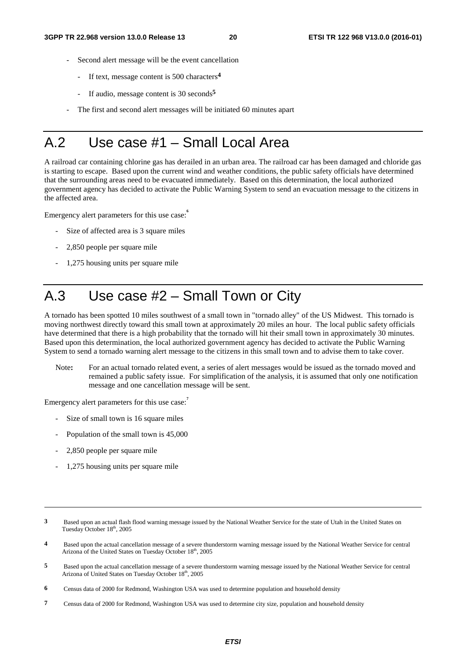- Second alert message will be the event cancellation
	- If text, message content is 500 characters**<sup>4</sup>**
	- If audio, message content is 30 seconds<sup>5</sup>
- The first and second alert messages will be initiated 60 minutes apart

## A.2 Use case #1 – Small Local Area

A railroad car containing chlorine gas has derailed in an urban area. The railroad car has been damaged and chloride gas is starting to escape. Based upon the current wind and weather conditions, the public safety officials have determined that the surrounding areas need to be evacuated immediately. Based on this determination, the local authorized government agency has decided to activate the Public Warning System to send an evacuation message to the citizens in the affected area.

Emergency alert parameters for this use case:

- Size of affected area is 3 square miles
- 2,850 people per square mile
- 1,275 housing units per square mile

## A.3 Use case #2 – Small Town or City

A tornado has been spotted 10 miles southwest of a small town in "tornado alley" of the US Midwest. This tornado is moving northwest directly toward this small town at approximately 20 miles an hour. The local public safety officials have determined that there is a high probability that the tornado will hit their small town in approximately 30 minutes. Based upon this determination, the local authorized government agency has decided to activate the Public Warning System to send a tornado warning alert message to the citizens in this small town and to advise them to take cover.

Note**:** For an actual tornado related event, a series of alert messages would be issued as the tornado moved and remained a public safety issue. For simplification of the analysis, it is assumed that only one notification message and one cancellation message will be sent.

Emergency alert parameters for this use case:<sup>7</sup>

- Size of small town is 16 square miles
- Population of the small town is 45,000
- 2,850 people per square mile

-

- 1,275 housing units per square mile
- **3** Based upon an actual flash flood warning message issued by the National Weather Service for the state of Utah in the United States on Tuesday October 18<sup>th</sup>, 2005
- **4** Based upon the actual cancellation message of a severe thunderstorm warning message issued by the National Weather Service for central Arizona of the United States on Tuesday October 18<sup>th</sup>, 2005
- **5** Based upon the actual cancellation message of a severe thunderstorm warning message issued by the National Weather Service for central Arizona of United States on Tuesday October 18th, 2005
- **6** Census data of 2000 for Redmond, Washington USA was used to determine population and household density
- **7** Census data of 2000 for Redmond, Washington USA was used to determine city size, population and household density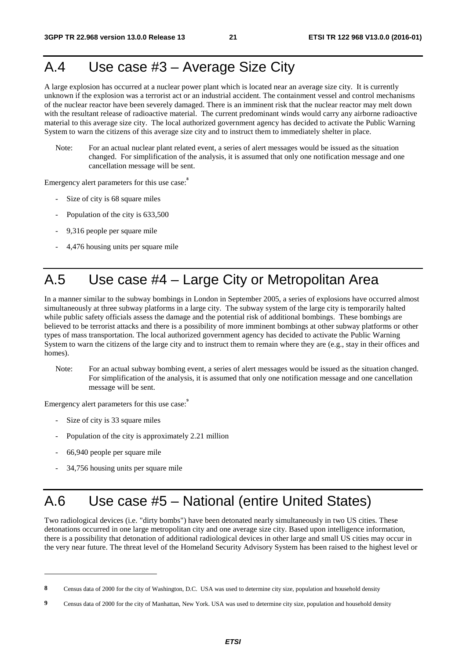## A.4 Use case #3 – Average Size City

A large explosion has occurred at a nuclear power plant which is located near an average size city. It is currently unknown if the explosion was a terrorist act or an industrial accident. The containment vessel and control mechanisms of the nuclear reactor have been severely damaged. There is an imminent risk that the nuclear reactor may melt down with the resultant release of radioactive material. The current predominant winds would carry any airborne radioactive material to this average size city. The local authorized government agency has decided to activate the Public Warning System to warn the citizens of this average size city and to instruct them to immediately shelter in place.

Note: For an actual nuclear plant related event, a series of alert messages would be issued as the situation changed. For simplification of the analysis, it is assumed that only one notification message and one cancellation message will be sent.

Emergency alert parameters for this use case:<sup>8</sup>

- Size of city is 68 square miles
- Population of the city is 633,500
- 9,316 people per square mile
- 4,476 housing units per square mile

## A.5 Use case #4 – Large City or Metropolitan Area

In a manner similar to the subway bombings in London in September 2005, a series of explosions have occurred almost simultaneously at three subway platforms in a large city. The subway system of the large city is temporarily halted while public safety officials assess the damage and the potential risk of additional bombings. These bombings are believed to be terrorist attacks and there is a possibility of more imminent bombings at other subway platforms or other types of mass transportation. The local authorized government agency has decided to activate the Public Warning System to warn the citizens of the large city and to instruct them to remain where they are (e.g., stay in their offices and homes).

Note: For an actual subway bombing event, a series of alert messages would be issued as the situation changed. For simplification of the analysis, it is assumed that only one notification message and one cancellation message will be sent.

Emergency alert parameters for this use case:<sup>9</sup>

- Size of city is 33 square miles
- Population of the city is approximately 2.21 million
- 66,940 people per square mile

1

- 34,756 housing units per square mile

## A.6 Use case #5 – National (entire United States)

Two radiological devices (i.e. "dirty bombs") have been detonated nearly simultaneously in two US cities. These detonations occurred in one large metropolitan city and one average size city. Based upon intelligence information, there is a possibility that detonation of additional radiological devices in other large and small US cities may occur in the very near future. The threat level of the Homeland Security Advisory System has been raised to the highest level or

**<sup>8</sup>** Census data of 2000 for the city of Washington, D.C. USA was used to determine city size, population and household density

**<sup>9</sup>** Census data of 2000 for the city of Manhattan, New York. USA was used to determine city size, population and household density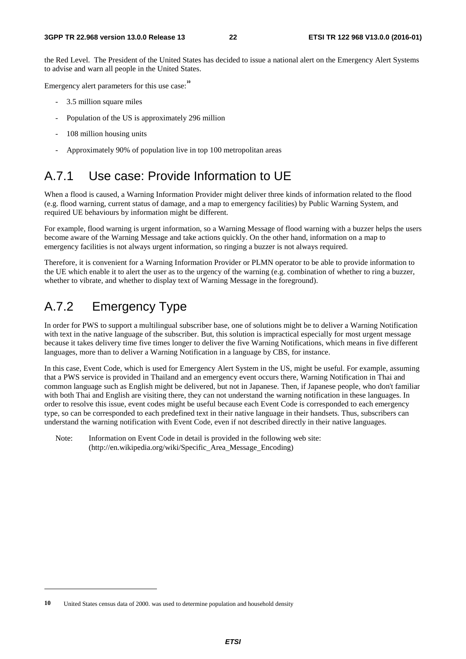the Red Level. The President of the United States has decided to issue a national alert on the Emergency Alert Systems to advise and warn all people in the United States.

Emergency alert parameters for this use case:<sup>10</sup>

- 3.5 million square miles
- Population of the US is approximately 296 million
- 108 million housing units
- Approximately 90% of population live in top 100 metropolitan areas

### A.7.1 Use case: Provide Information to UE

When a flood is caused, a Warning Information Provider might deliver three kinds of information related to the flood (e.g. flood warning, current status of damage, and a map to emergency facilities) by Public Warning System, and required UE behaviours by information might be different.

For example, flood warning is urgent information, so a Warning Message of flood warning with a buzzer helps the users become aware of the Warning Message and take actions quickly. On the other hand, information on a map to emergency facilities is not always urgent information, so ringing a buzzer is not always required.

Therefore, it is convenient for a Warning Information Provider or PLMN operator to be able to provide information to the UE which enable it to alert the user as to the urgency of the warning (e.g. combination of whether to ring a buzzer, whether to vibrate, and whether to display text of Warning Message in the foreground).

### A.7.2 Emergency Type

-

In order for PWS to support a multilingual subscriber base, one of solutions might be to deliver a Warning Notification with text in the native language of the subscriber. But, this solution is impractical especially for most urgent message because it takes delivery time five times longer to deliver the five Warning Notifications, which means in five different languages, more than to deliver a Warning Notification in a language by CBS, for instance.

In this case, Event Code, which is used for Emergency Alert System in the US, might be useful. For example, assuming that a PWS service is provided in Thailand and an emergency event occurs there, Warning Notification in Thai and common language such as English might be delivered, but not in Japanese. Then, if Japanese people, who don't familiar with both Thai and English are visiting there, they can not understand the warning notification in these languages. In order to resolve this issue, event codes might be useful because each Event Code is corresponded to each emergency type, so can be corresponded to each predefined text in their native language in their handsets. Thus, subscribers can understand the warning notification with Event Code, even if not described directly in their native languages.

Note: Information on Event Code in detail is provided in the following web site: (http://en.wikipedia.org/wiki/Specific\_Area\_Message\_Encoding)

**<sup>10</sup>** United States census data of 2000. was used to determine population and household density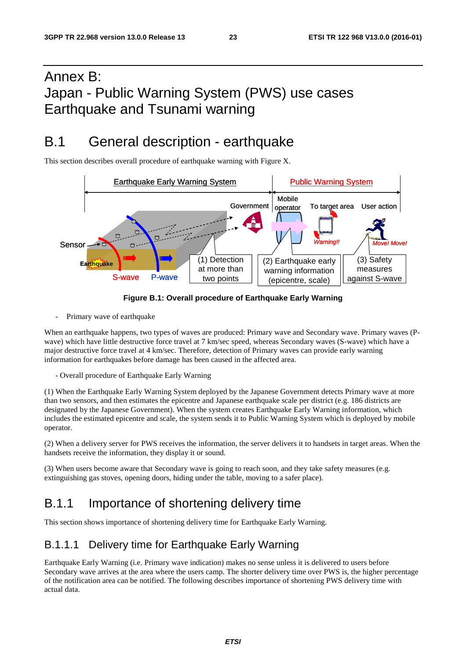## Annex B: Japan - Public Warning System (PWS) use cases Earthquake and Tsunami warning

## B.1 General description - earthquake

This section describes overall procedure of earthquake warning with Figure X.



#### **Figure B.1: Overall procedure of Earthquake Early Warning**

Primary wave of earthquake

When an earthquake happens, two types of waves are produced: Primary wave and Secondary wave. Primary waves (Pwave) which have little destructive force travel at 7 km/sec speed, whereas Secondary waves (S-wave) which have a major destructive force travel at 4 km/sec. Therefore, detection of Primary waves can provide early warning information for earthquakes before damage has been caused in the affected area.

- Overall procedure of Earthquake Early Warning

(1) When the Earthquake Early Warning System deployed by the Japanese Government detects Primary wave at more than two sensors, and then estimates the epicentre and Japanese earthquake scale per district (e.g. 186 districts are designated by the Japanese Government). When the system creates Earthquake Early Warning information, which includes the estimated epicentre and scale, the system sends it to Public Warning System which is deployed by mobile operator.

(2) When a delivery server for PWS receives the information, the server delivers it to handsets in target areas. When the handsets receive the information, they display it or sound.

(3) When users become aware that Secondary wave is going to reach soon, and they take safety measures (e.g. extinguishing gas stoves, opening doors, hiding under the table, moving to a safer place).

### B.1.1 Importance of shortening delivery time

This section shows importance of shortening delivery time for Earthquake Early Warning.

#### B.1.1.1 Delivery time for Earthquake Early Warning

Earthquake Early Warning (i.e. Primary wave indication) makes no sense unless it is delivered to users before Secondary wave arrives at the area where the users camp. The shorter delivery time over PWS is, the higher percentage of the notification area can be notified. The following describes importance of shortening PWS delivery time with actual data.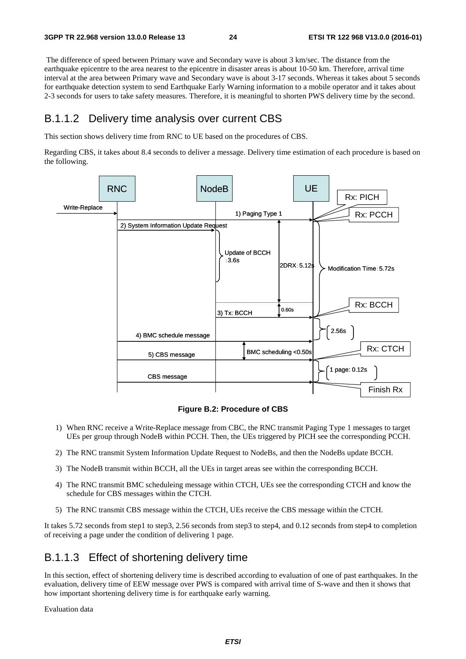The difference of speed between Primary wave and Secondary wave is about 3 km/sec. The distance from the earthquake epicentre to the area nearest to the epicentre in disaster areas is about 10-50 km. Therefore, arrival time interval at the area between Primary wave and Secondary wave is about 3-17 seconds. Whereas it takes about 5 seconds for earthquake detection system to send Earthquake Early Warning information to a mobile operator and it takes about 2-3 seconds for users to take safety measures. Therefore, it is meaningful to shorten PWS delivery time by the second.

#### B.1.1.2 Delivery time analysis over current CBS

This section shows delivery time from RNC to UE based on the procedures of CBS.

Regarding CBS, it takes about 8.4 seconds to deliver a message. Delivery time estimation of each procedure is based on the following.



**Figure B.2: Procedure of CBS** 

- 1) When RNC receive a Write-Replace message from CBC, the RNC transmit Paging Type 1 messages to target UEs per group through NodeB within PCCH. Then, the UEs triggered by PICH see the corresponding PCCH.
- 2) The RNC transmit System Information Update Request to NodeBs, and then the NodeBs update BCCH.
- 3) The NodeB transmit within BCCH, all the UEs in target areas see within the corresponding BCCH.
- 4) The RNC transmit BMC scheduleing message within CTCH, UEs see the corresponding CTCH and know the schedule for CBS messages within the CTCH.
- 5) The RNC transmit CBS message within the CTCH, UEs receive the CBS message within the CTCH.

It takes 5.72 seconds from step1 to step3, 2.56 seconds from step3 to step4, and 0.12 seconds from step4 to completion of receiving a page under the condition of delivering 1 page.

#### B.1.1.3 Effect of shortening delivery time

In this section, effect of shortening delivery time is described according to evaluation of one of past earthquakes. In the evaluation, delivery time of EEW message over PWS is compared with arrival time of S-wave and then it shows that how important shortening delivery time is for earthquake early warning.

Evaluation data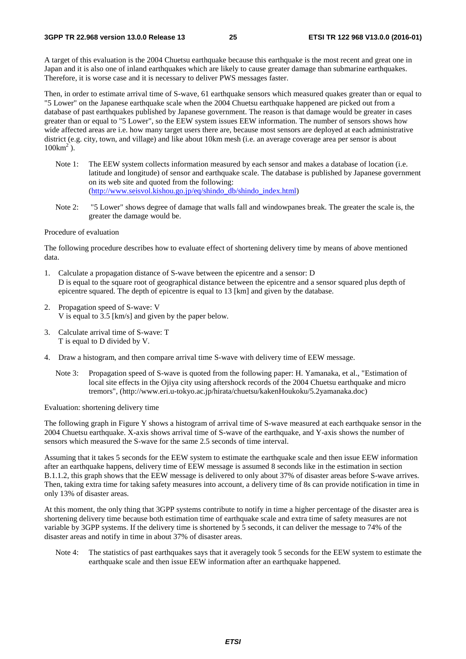A target of this evaluation is the 2004 Chuetsu earthquake because this earthquake is the most recent and great one in Japan and it is also one of inland earthquakes which are likely to cause greater damage than submarine earthquakes. Therefore, it is worse case and it is necessary to deliver PWS messages faster.

Then, in order to estimate arrival time of S-wave, 61 earthquake sensors which measured quakes greater than or equal to "5 Lower" on the Japanese earthquake scale when the 2004 Chuetsu earthquake happened are picked out from a database of past earthquakes published by Japanese government. The reason is that damage would be greater in cases greater than or equal to "5 Lower", so the EEW system issues EEW information. The number of sensors shows how wide affected areas are i.e. how many target users there are, because most sensors are deployed at each administrative district (e.g. city, town, and village) and like about 10km mesh (i.e. an average coverage area per sensor is about  $100 \text{km}^2$ ).

- Note 1: The EEW system collects information measured by each sensor and makes a database of location (i.e. latitude and longitude) of sensor and earthquake scale. The database is published by Japanese government on its web site and quoted from the following: [\(http://www.seisvol.kishou.go.jp/eq/shindo\\_db/shindo\\_index.html\)](http://www.seisvol.kishou.go.jp/eq/shindo_db/shindo_index.html)
- Note 2: "5 Lower" shows degree of damage that walls fall and windowpanes break. The greater the scale is, the greater the damage would be.

#### Procedure of evaluation

The following procedure describes how to evaluate effect of shortening delivery time by means of above mentioned data.

- 1. Calculate a propagation distance of S-wave between the epicentre and a sensor: D D is equal to the square root of geographical distance between the epicentre and a sensor squared plus depth of epicentre squared. The depth of epicentre is equal to 13 [km] and given by the database.
- 2. Propagation speed of S-wave: V V is equal to 3.5 [km/s] and given by the paper below.
- 3. Calculate arrival time of S-wave: T T is equal to D divided by V.
- 4. Draw a histogram, and then compare arrival time S-wave with delivery time of EEW message.
	- Note 3: Propagation speed of S-wave is quoted from the following paper: H. Yamanaka, et al., "Estimation of local site effects in the Ojiya city using aftershock records of the 2004 Chuetsu earthquake and micro tremors", (http://www.eri.u-tokyo.ac.jp/hirata/chuetsu/kakenHoukoku/5.2yamanaka.doc)

Evaluation: shortening delivery time

The following graph in Figure Y shows a histogram of arrival time of S-wave measured at each earthquake sensor in the 2004 Chuetsu earthquake. X-axis shows arrival time of S-wave of the earthquake, and Y-axis shows the number of sensors which measured the S-wave for the same 2.5 seconds of time interval.

Assuming that it takes 5 seconds for the EEW system to estimate the earthquake scale and then issue EEW information after an earthquake happens, delivery time of EEW message is assumed 8 seconds like in the estimation in section B.1.1.2, this graph shows that the EEW message is delivered to only about 37% of disaster areas before S-wave arrives. Then, taking extra time for taking safety measures into account, a delivery time of 8s can provide notification in time in only 13% of disaster areas.

At this moment, the only thing that 3GPP systems contribute to notify in time a higher percentage of the disaster area is shortening delivery time because both estimation time of earthquake scale and extra time of safety measures are not variable by 3GPP systems. If the delivery time is shortened by 5 seconds, it can deliver the message to 74% of the disaster areas and notify in time in about 37% of disaster areas.

Note 4: The statistics of past earthquakes says that it averagely took 5 seconds for the EEW system to estimate the earthquake scale and then issue EEW information after an earthquake happened.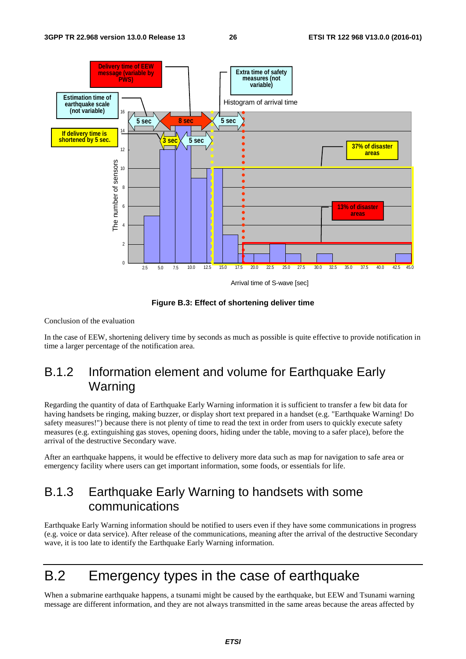

**Figure B.3: Effect of shortening deliver time** 

Conclusion of the evaluation

In the case of EEW, shortening delivery time by seconds as much as possible is quite effective to provide notification in time a larger percentage of the notification area.

### B.1.2 Information element and volume for Earthquake Early Warning

Regarding the quantity of data of Earthquake Early Warning information it is sufficient to transfer a few bit data for having handsets be ringing, making buzzer, or display short text prepared in a handset (e.g. "Earthquake Warning! Do safety measures!") because there is not plenty of time to read the text in order from users to quickly execute safety measures (e.g. extinguishing gas stoves, opening doors, hiding under the table, moving to a safer place), before the arrival of the destructive Secondary wave.

After an earthquake happens, it would be effective to delivery more data such as map for navigation to safe area or emergency facility where users can get important information, some foods, or essentials for life.

### B.1.3 Earthquake Early Warning to handsets with some communications

Earthquake Early Warning information should be notified to users even if they have some communications in progress (e.g. voice or data service). After release of the communications, meaning after the arrival of the destructive Secondary wave, it is too late to identify the Earthquake Early Warning information.

## B.2 Emergency types in the case of earthquake

When a submarine earthquake happens, a tsunami might be caused by the earthquake, but EEW and Tsunami warning message are different information, and they are not always transmitted in the same areas because the areas affected by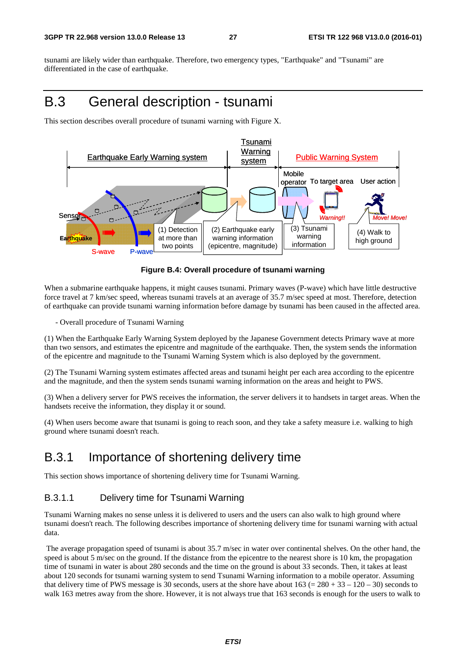tsunami are likely wider than earthquake. Therefore, two emergency types, "Earthquake" and "Tsunami" are differentiated in the case of earthquake.

## B.3 General description - tsunami

This section describes overall procedure of tsunami warning with Figure X.



#### **Figure B.4: Overall procedure of tsunami warning**

When a submarine earthquake happens, it might causes tsunami. Primary waves (P-wave) which have little destructive force travel at 7 km/sec speed, whereas tsunami travels at an average of 35.7 m/sec speed at most. Therefore, detection of earthquake can provide tsunami warning information before damage by tsunami has been caused in the affected area.

- Overall procedure of Tsunami Warning

(1) When the Earthquake Early Warning System deployed by the Japanese Government detects Primary wave at more than two sensors, and estimates the epicentre and magnitude of the earthquake. Then, the system sends the information of the epicentre and magnitude to the Tsunami Warning System which is also deployed by the government.

(2) The Tsunami Warning system estimates affected areas and tsunami height per each area according to the epicentre and the magnitude, and then the system sends tsunami warning information on the areas and height to PWS.

(3) When a delivery server for PWS receives the information, the server delivers it to handsets in target areas. When the handsets receive the information, they display it or sound.

(4) When users become aware that tsunami is going to reach soon, and they take a safety measure i.e. walking to high ground where tsunami doesn't reach.

#### B.3.1 Importance of shortening delivery time

This section shows importance of shortening delivery time for Tsunami Warning.

#### B.3.1.1 Delivery time for Tsunami Warning

Tsunami Warning makes no sense unless it is delivered to users and the users can also walk to high ground where tsunami doesn't reach. The following describes importance of shortening delivery time for tsunami warning with actual data.

 The average propagation speed of tsunami is about 35.7 m/sec in water over continental shelves. On the other hand, the speed is about 5 m/sec on the ground. If the distance from the epicentre to the nearest shore is 10 km, the propagation time of tsunami in water is about 280 seconds and the time on the ground is about 33 seconds. Then, it takes at least about 120 seconds for tsunami warning system to send Tsunami Warning information to a mobile operator. Assuming that delivery time of PWS message is 30 seconds, users at the shore have about  $163 (= 280 + 33 - 120 - 30)$  seconds to walk 163 metres away from the shore. However, it is not always true that 163 seconds is enough for the users to walk to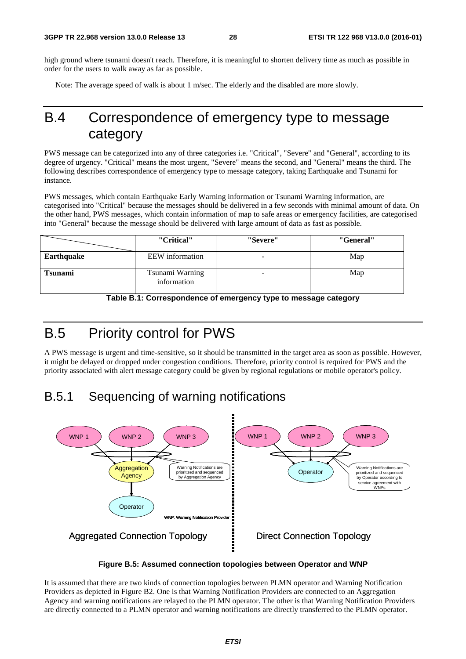high ground where tsunami doesn't reach. Therefore, it is meaningful to shorten delivery time as much as possible in order for the users to walk away as far as possible.

Note: The average speed of walk is about 1 m/sec. The elderly and the disabled are more slowly.

## B.4 Correspondence of emergency type to message category

PWS message can be categorized into any of three categories i.e. "Critical", "Severe" and "General", according to its degree of urgency. "Critical" means the most urgent, "Severe" means the second, and "General" means the third. The following describes correspondence of emergency type to message category, taking Earthquake and Tsunami for instance.

PWS messages, which contain Earthquake Early Warning information or Tsunami Warning information, are categorised into "Critical" because the messages should be delivered in a few seconds with minimal amount of data. On the other hand, PWS messages, which contain information of map to safe areas or emergency facilities, are categorised into "General" because the message should be delivered with large amount of data as fast as possible.

|                | "Critical"                     | "Severe" | "General" |
|----------------|--------------------------------|----------|-----------|
| Earthquake     | EEW information                |          | Map       |
| <b>Tsunami</b> | Tsunami Warning<br>information | -        | Map       |

**Table B.1: Correspondence of emergency type to message category** 

## B.5 Priority control for PWS

A PWS message is urgent and time-sensitive, so it should be transmitted in the target area as soon as possible. However, it might be delayed or dropped under congestion conditions. Therefore, priority control is required for PWS and the priority associated with alert message category could be given by regional regulations or mobile operator's policy.

### B.5.1 Sequencing of warning notifications





It is assumed that there are two kinds of connection topologies between PLMN operator and Warning Notification Providers as depicted in Figure B2. One is that Warning Notification Providers are connected to an Aggregation Agency and warning notifications are relayed to the PLMN operator. The other is that Warning Notification Providers are directly connected to a PLMN operator and warning notifications are directly transferred to the PLMN operator.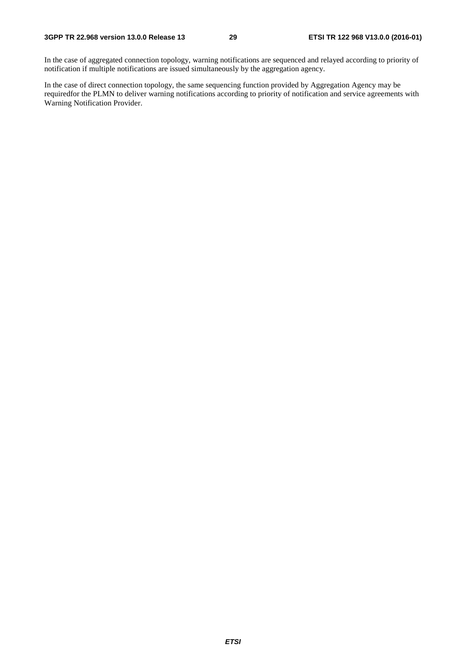In the case of aggregated connection topology, warning notifications are sequenced and relayed according to priority of notification if multiple notifications are issued simultaneously by the aggregation agency.

In the case of direct connection topology, the same sequencing function provided by Aggregation Agency may be requiredfor the PLMN to deliver warning notifications according to priority of notification and service agreements with Warning Notification Provider.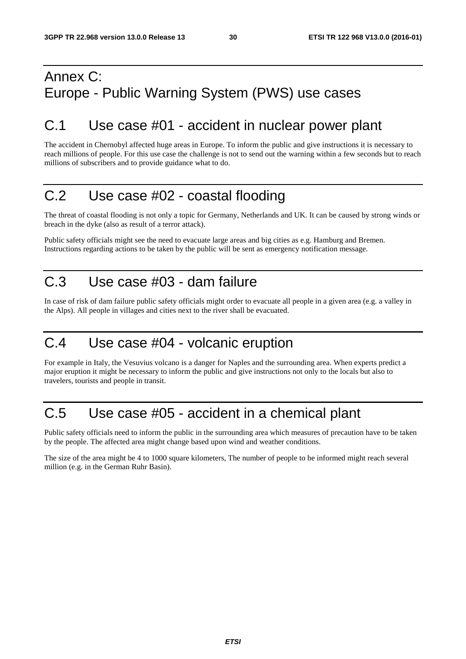## Annex C: Europe - Public Warning System (PWS) use cases

### C.1 Use case #01 - accident in nuclear power plant

The accident in Chernobyl affected huge areas in Europe. To inform the public and give instructions it is necessary to reach millions of people. For this use case the challenge is not to send out the warning within a few seconds but to reach millions of subscribers and to provide guidance what to do.

## C.2 Use case #02 - coastal flooding

The threat of coastal flooding is not only a topic for Germany, Netherlands and UK. It can be caused by strong winds or breach in the dyke (also as result of a terror attack).

Public safety officials might see the need to evacuate large areas and big cities as e.g. Hamburg and Bremen. Instructions regarding actions to be taken by the public will be sent as emergency notification message.

## C.3 Use case #03 - dam failure

In case of risk of dam failure public safety officials might order to evacuate all people in a given area (e.g. a valley in the Alps). All people in villages and cities next to the river shall be evacuated.

## C.4 Use case #04 - volcanic eruption

For example in Italy, the Vesuvius volcano is a danger for Naples and the surrounding area. When experts predict a major eruption it might be necessary to inform the public and give instructions not only to the locals but also to travelers, tourists and people in transit.

## C.5 Use case #05 - accident in a chemical plant

Public safety officials need to inform the public in the surrounding area which measures of precaution have to be taken by the people. The affected area might change based upon wind and weather conditions.

The size of the area might be 4 to 1000 square kilometers, The number of people to be informed might reach several million (e.g. in the German Ruhr Basin).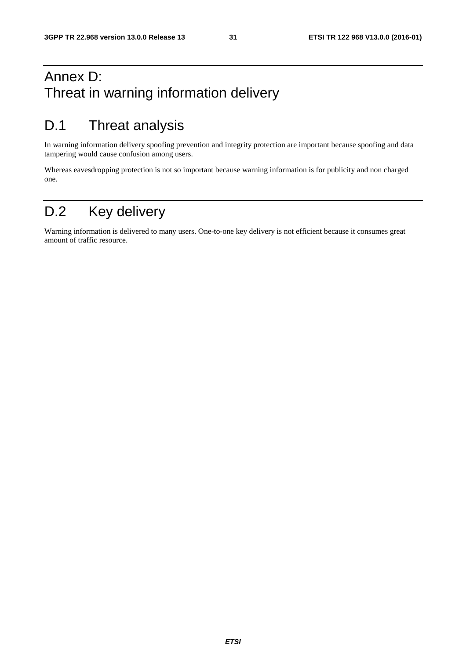## Annex D: Threat in warning information delivery

## D.1 Threat analysis

In warning information delivery spoofing prevention and integrity protection are important because spoofing and data tampering would cause confusion among users.

Whereas eavesdropping protection is not so important because warning information is for publicity and non charged one.

## D.2 Key delivery

Warning information is delivered to many users. One-to-one key delivery is not efficient because it consumes great amount of traffic resource.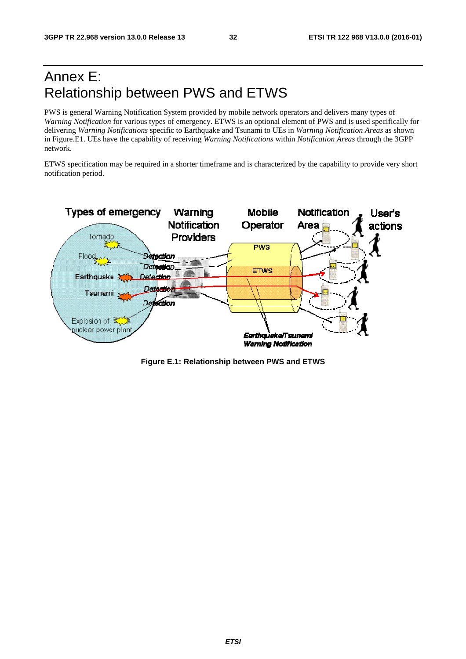## Annex E: Relationship between PWS and ETWS

PWS is general Warning Notification System provided by mobile network operators and delivers many types of Warning Notification for various types of emergency. ETWS is an optional element of PWS and is used specifically for delivering *Warning Notifications* specific to E Earthquake and Tsunami to UEs in *Warning Notification ion Areas* as shown in Figure.E1. UEs have the capability of receiving *Warning Notifications* within *Notification Areas* through the 3GPP network.

ETWS specification may be required in a shorter timeframe and is characterized by the capability to provide very short notification period.



**Figure E.1: R Relationship between PWS and ETWS**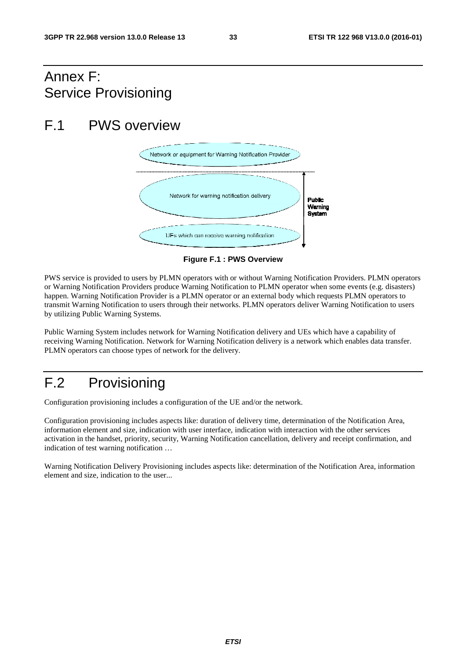## Annex F: Service Provisioning

## F.1 PWS overview



**F Figure F.1 : PWS Overview** 

PWS service is provided to users by PLMN operators with or without Warning Notification Providers. PLMN operators or Warning Notification Providers produce Warning Notification to PLMN operator when some events (e.g. disasters) happen. Warning Notification Provider is a PLMN operator or an external body which requests PLMN operators to transmit Warning Notification to users through their networks. PLMN operators deliver Warning Notification to users by utilizing Public Warning Systems.

Public Warning System includes network for Warning Notification delivery and UEs which have a capability of receiving Warning Notification. Network for Warning Notification delivery is a network which enables data transfer. PLMN operators can choose types of network for the delivery.

## F.2 Provisioning

Configuration provisioning includes a configuration of the UE and/or the network.

Configuration provisioning includes aspects like: duration of delivery time, determination of the Notification Area, information element and size, indication with user interface, indication with interaction with the other services activation in the handset, priority, security, Warning Notification cancellation, delivery and receipt confirmation, and indication of test warning notification …

Warning Notification Delivery Provisioning includes aspects like: determination of the Notification Area, information element and size, indication to the user...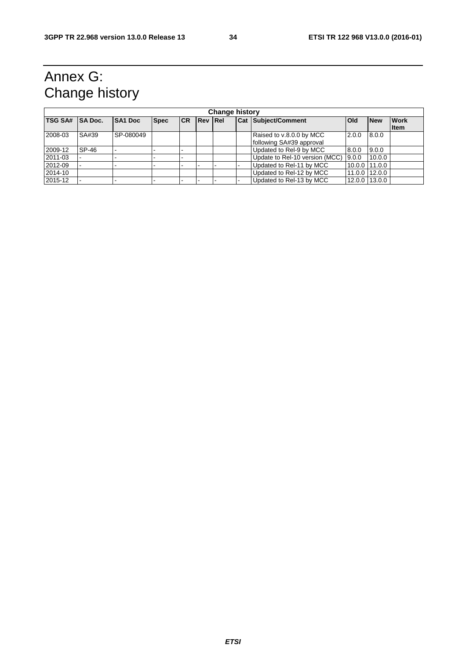## Annex G: Change history

| <b>Change history</b> |                |                |             |           |                |  |  |                                                      |               |               |                            |
|-----------------------|----------------|----------------|-------------|-----------|----------------|--|--|------------------------------------------------------|---------------|---------------|----------------------------|
| <b>TSG SA#</b>        | <b>SA Doc.</b> | <b>SA1 Doc</b> | <b>Spec</b> | <b>CR</b> | <b>Rev Rel</b> |  |  | <b>Cat Subject/Comment</b>                           | <b>Old</b>    | <b>New</b>    | <b>Work</b><br><b>Item</b> |
| 2008-03               | SA#39          | SP-080049      |             |           |                |  |  | Raised to v.8.0.0 by MCC<br>following SA#39 approval | 2.0.0         | 8.0.0         |                            |
| 2009-12               | SP-46          |                |             |           |                |  |  | Updated to Rel-9 by MCC                              | 8.0.0         | 9.0.0         |                            |
| 2011-03               |                |                |             |           |                |  |  | Update to Rel-10 version (MCC) 9.0.0                 |               | 10.0.0        |                            |
| 2012-09               |                |                |             |           |                |  |  | Updated to Rel-11 by MCC                             | 10.0.0 11.0.0 |               |                            |
| 2014-10               |                |                |             |           |                |  |  | Updated to Rel-12 by MCC                             | 11.0.0        | 12.0.0        |                            |
| 2015-12               |                |                |             |           |                |  |  | Updated to Rel-13 by MCC                             |               | 12.0.0 13.0.0 |                            |